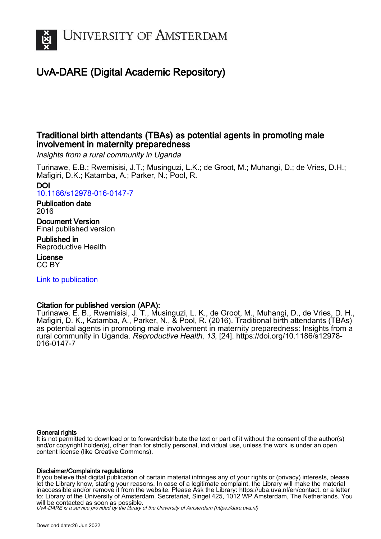

# UvA-DARE (Digital Academic Repository)

# Traditional birth attendants (TBAs) as potential agents in promoting male involvement in maternity preparedness

Insights from a rural community in Uganda

Turinawe, E.B.; Rwemisisi, J.T.; Musinguzi, L.K.; de Groot, M.; Muhangi, D.; de Vries, D.H.; Mafigiri, D.K.; Katamba, A.; Parker, N.; Pool, R. DOI

[10.1186/s12978-016-0147-7](https://doi.org/10.1186/s12978-016-0147-7)

Publication date 2016

Document Version Final published version

Published in Reproductive Health

License CC BY

[Link to publication](https://dare.uva.nl/personal/pure/en/publications/traditional-birth-attendants-tbas-as-potential-agents-in-promoting-male-involvement-in-maternity-preparedness(9c86517e-4bdd-44c5-ae41-26493353ae76).html)

# Citation for published version (APA):

Turinawe, E. B., Rwemisisi, J. T., Musinguzi, L. K., de Groot, M., Muhangi, D., de Vries, D. H., Mafigiri, D. K., Katamba, A., Parker, N., & Pool, R. (2016). Traditional birth attendants (TBAs) as potential agents in promoting male involvement in maternity preparedness: Insights from a rural community in Uganda. Reproductive Health, 13, [24]. [https://doi.org/10.1186/s12978-](https://doi.org/10.1186/s12978-016-0147-7) [016-0147-7](https://doi.org/10.1186/s12978-016-0147-7)

# General rights

It is not permitted to download or to forward/distribute the text or part of it without the consent of the author(s) and/or copyright holder(s), other than for strictly personal, individual use, unless the work is under an open content license (like Creative Commons).

# Disclaimer/Complaints regulations

If you believe that digital publication of certain material infringes any of your rights or (privacy) interests, please let the Library know, stating your reasons. In case of a legitimate complaint, the Library will make the material inaccessible and/or remove it from the website. Please Ask the Library: https://uba.uva.nl/en/contact, or a letter to: Library of the University of Amsterdam, Secretariat, Singel 425, 1012 WP Amsterdam, The Netherlands. You will be contacted as soon as possible.

UvA-DARE is a service provided by the library of the University of Amsterdam (http*s*://dare.uva.nl)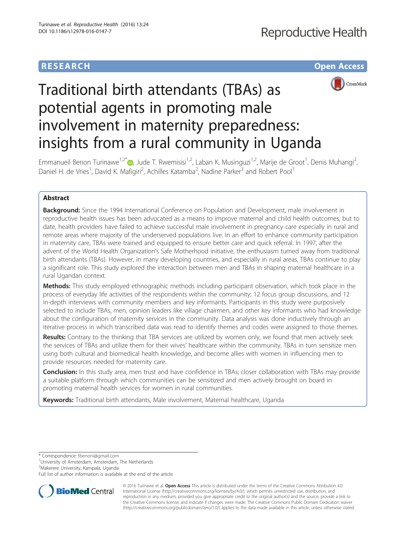# **RESEARCH CHE Open Access**



# Traditional birth attendants (TBAs) as potential agents in promoting male involvement in maternity preparedness: insights from a rural community in Uganda

Emmanueil Benon Turinawe<sup>1[,](http://orcid.org/0000-0002-8978-4600)2\*</sup>®, Jude T. Rwemisisi<sup>1,2</sup>, Laban K. Musinguzi<sup>1,2</sup>, Marije de Groot<sup>1</sup>, Denis Muhangi<sup>2</sup> , Daniel H. de Vries<sup>1</sup>, David K. Mafigiri<sup>2</sup>, Achilles Katamba<sup>2</sup>, Nadine Parker<sup>3</sup> and Robert Pool<sup>1</sup>

# Abstract

**Background:** Since the 1994 International Conference on Population and Development, male involvement in reproductive health issues has been advocated as a means to improve maternal and child health outcomes, but to date, health providers have failed to achieve successful male involvement in pregnancy care especially in rural and remote areas where majority of the underserved populations live. In an effort to enhance community participation in maternity care, TBAs were trained and equipped to ensure better care and quick referral. In 1997, after the advent of the World Health Organization's Safe Motherhood initiative, the enthusiasm turned away from traditional birth attendants (TBAs). However, in many developing countries, and especially in rural areas, TBAs continue to play a significant role. This study explored the interaction between men and TBAs in shaping maternal healthcare in a rural Ugandan context.

Methods: This study employed ethnographic methods including participant observation, which took place in the process of everyday life activities of the respondents within the community; 12 focus group discussions, and 12 in-depth interviews with community members and key informants. Participants in this study were purposively selected to include TBAs, men, opinion leaders like village chairmen, and other key informants who had knowledge about the configuration of maternity services in the community. Data analysis was done inductively through an iterative process in which transcribed data was read to identify themes and codes were assigned to those themes.

Results: Contrary to the thinking that TBA services are utilized by women only, we found that men actively seek the services of TBAs and utilize them for their wives' healthcare within the community. TBAs in turn sensitize men using both cultural and biomedical health knowledge, and become allies with women in influencing men to provide resources needed for maternity care.

Conclusion: In this study area, men trust and have confidence in TBAs; closer collaboration with TBAs may provide a suitable platform through which communities can be sensitized and men actively brought on board in promoting maternal health services for women in rural communities.

Keywords: Traditional birth attendants, Male involvement, Maternal healthcare, Uganda

\* Correspondence: [tbenoni@gmail.com](mailto:tbenoni@gmail.com) <sup>1</sup>

<sup>1</sup> University of Amsterdam, Amsterdam, The Netherlands

2 Makerere University, Kampala, Uganda

Full list of author information is available at the end of the article



© 2016 Turinawe et al. Open Access This article is distributed under the terms of the Creative Commons Attribution 4.0 International License [\(http://creativecommons.org/licenses/by/4.0/](http://creativecommons.org/licenses/by/4.0/)), which permits unrestricted use, distribution, and reproduction in any medium, provided you give appropriate credit to the original author(s) and the source, provide a link to the Creative Commons license, and indicate if changes were made. The Creative Commons Public Domain Dedication waiver [\(http://creativecommons.org/publicdomain/zero/1.0/](http://creativecommons.org/publicdomain/zero/1.0/)) applies to the data made available in this article, unless otherwise stated.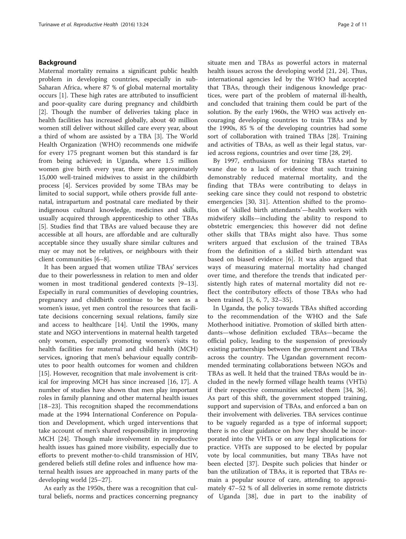#### Background

Maternal mortality remains a significant public health problem in developing countries, especially in sub-Saharan Africa, where 87 % of global maternal mortality occurs [[1\]](#page-10-0). These high rates are attributed to insufficient and poor-quality care during pregnancy and childbirth [[2\]](#page-10-0). Though the number of deliveries taking place in health facilities has increased globally, about 40 million women still deliver without skilled care every year, about a third of whom are assisted by a TBA [[3\]](#page-10-0). The World Health Organization (WHO) recommends one midwife for every 175 pregnant women but this standard is far from being achieved; in Uganda, where 1.5 million women give birth every year, there are approximately 15,000 well-trained midwives to assist in the childbirth process [\[4](#page-10-0)]. Services provided by some TBAs may be limited to social support, while others provide full antenatal, intrapartum and postnatal care mediated by their indigenous cultural knowledge, medicines and skills, usually acquired through apprenticeship to other TBAs [[5\]](#page-10-0). Studies find that TBAs are valued because they are accessible at all hours, are affordable and are culturally acceptable since they usually share similar cultures and may or may not be relatives, or neighbours with their client communities [\[6](#page-10-0)–[8](#page-10-0)].

It has been argued that women utilize TBAs' services due to their powerlessness in relation to men and older women in most traditional gendered contexts [[9](#page-10-0)–[13](#page-10-0)]. Especially in rural communities of developing countries, pregnancy and childbirth continue to be seen as a women's issue, yet men control the resources that facilitate decisions concerning sexual relations, family size and access to healthcare [[14\]](#page-10-0). Until the 1990s, many state and NGO interventions in maternal health targeted only women, especially promoting women's visits to health facilities for maternal and child health (MCH) services, ignoring that men's behaviour equally contributes to poor health outcomes for women and children [[15\]](#page-10-0). However, recognition that male involvement is critical for improving MCH has since increased [\[16, 17\]](#page-10-0). A number of studies have shown that men play important roles in family planning and other maternal health issues [[18](#page-10-0)–[23](#page-10-0)]. This recognition shaped the recommendations made at the 1994 International Conference on Population and Development, which urged interventions that take account of men's shared responsibility in improving MCH [\[24](#page-10-0)]. Though male involvement in reproductive health issues has gained more visibility, especially due to efforts to prevent mother-to-child transmission of HIV, gendered beliefs still define roles and influence how maternal health issues are approached in many parts of the developing world [\[25](#page-10-0)–[27\]](#page-11-0).

As early as the 1950s, there was a recognition that cultural beliefs, norms and practices concerning pregnancy situate men and TBAs as powerful actors in maternal health issues across the developing world [[21, 24\]](#page-10-0). Thus, international agencies led by the WHO had accepted that TBAs, through their indigenous knowledge practices, were part of the problem of maternal ill-health, and concluded that training them could be part of the solution. By the early 1960s, the WHO was actively encouraging developing countries to train TBAs and by the 1990s, 85 % of the developing countries had some sort of collaboration with trained TBAs [\[28](#page-11-0)]. Training and activities of TBAs, as well as their legal status, varied across regions, countries and over time [[28](#page-11-0), [29](#page-11-0)].

By 1997, enthusiasm for training TBAs started to wane due to a lack of evidence that such training demonstrably reduced maternal mortality, and the finding that TBAs were contributing to delays in seeking care since they could not respond to obstetric emergencies [[30, 31](#page-11-0)]. Attention shifted to the promotion of 'skilled birth attendants'—health workers with midwifery skills—including the ability to respond to obstetric emergencies; this however did not define other skills that TBAs might also have. Thus some writers argued that exclusion of the trained TBAs from the definition of a skilled birth attendant was based on biased evidence [[6\]](#page-10-0). It was also argued that ways of measuring maternal mortality had changed over time, and therefore the trends that indicated persistently high rates of maternal mortality did not reflect the contributory effects of those TBAs who had been trained [[3, 6](#page-10-0), [7](#page-10-0), [32](#page-11-0)–[35](#page-11-0)].

In Uganda, the policy towards TBAs shifted according to the recommendation of the WHO and the Safe Motherhood initiative. Promotion of skilled birth attendants—whose definition excluded TBAs—became the official policy, leading to the suspension of previously existing partnerships between the government and TBAs across the country. The Ugandan government recommended terminating collaborations between NGOs and TBAs as well. It held that the trained TBAs would be included in the newly formed village health teams (VHTs) if their respective communities selected them [[34, 36](#page-11-0)]. As part of this shift, the government stopped training, support and supervision of TBAs, and enforced a ban on their involvement with deliveries. TBA services continue to be vaguely regarded as a type of informal support; there is no clear guidance on how they should be incorporated into the VHTs or on any legal implications for practice. VHTs are supposed to be elected by popular vote by local communities, but many TBAs have not been elected [[37\]](#page-11-0). Despite such policies that hinder or ban the utilization of TBAs, it is reported that TBAs remain a popular source of care, attending to approximately 47–52 % of all deliveries in some remote districts of Uganda [[38\]](#page-11-0), due in part to the inability of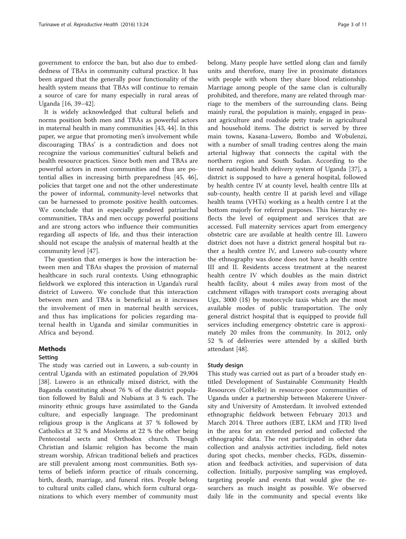government to enforce the ban, but also due to embeddedness of TBAs in community cultural practice. It has been argued that the generally poor functionality of the health system means that TBAs will continue to remain a source of care for many especially in rural areas of Uganda [[16,](#page-10-0) [39](#page-11-0)–[42](#page-11-0)].

It is widely acknowledged that cultural beliefs and norms position both men and TBAs as powerful actors in maternal health in many communities [[43, 44\]](#page-11-0). In this paper, we argue that promoting men's involvement while discouraging TBAs' is a contradiction and does not recognize the various communities' cultural beliefs and health resource practices. Since both men and TBAs are powerful actors in most communities and thus are potential allies in increasing birth preparedness [\[45](#page-11-0), [46](#page-11-0)], policies that target one and not the other underestimate the power of informal, community-level networks that can be harnessed to promote positive health outcomes. We conclude that in especially gendered patriarchal communities, TBAs and men occupy powerful positions and are strong actors who influence their communities regarding all aspects of life, and thus their interaction should not escape the analysis of maternal health at the community level [[47\]](#page-11-0).

The question that emerges is how the interaction between men and TBAs shapes the provision of maternal healthcare in such rural contexts. Using ethnographic fieldwork we explored this interaction in Uganda's rural district of Luwero. We conclude that this interaction between men and TBAs is beneficial as it increases the involvement of men in maternal health services, and thus has implications for policies regarding maternal health in Uganda and similar communities in Africa and beyond.

# Methods

#### Setting

The study was carried out in Luwero, a sub-county in central Uganda with an estimated population of 29,904 [[38\]](#page-11-0). Luwero is an ethnically mixed district, with the Baganda constituting about 76 % of the district population followed by Baluli and Nubians at 3 % each. The minority ethnic groups have assimilated to the Ganda culture, and especially language. The predominant religious group is the Anglicans at 37 % followed by Catholics at 32 % and Moslems at 22 % the other being Pentecostal sects and Orthodox church. Though Christian and Islamic religion has become the main stream worship, African traditional beliefs and practices are still prevalent among most communities. Both systems of beliefs inform practice of rituals concerning, birth, death, marriage, and funeral rites. People belong to cultural units called clans, which form cultural organizations to which every member of community must belong. Many people have settled along clan and family units and therefore, many live in proximate distances with people with whom they share blood relationship. Marriage among people of the same clan is culturally prohibited, and therefore, many are related through marriage to the members of the surrounding clans. Being mainly rural, the population is mainly, engaged in peasant agriculture and roadside petty trade in agricultural and household items. The district is served by three main towns, Kasana-Luwero, Bombo and Wobulenzi, with a number of small trading centres along the main arterial highway that connects the capital with the northern region and South Sudan. According to the tiered national health delivery system of Uganda [\[37\]](#page-11-0), a district is supposed to have a general hospital, followed by health centre IV at county level, health centre IIIs at sub-county, health centre II at parish level and village health teams (VHTs) working as a health centre I at the bottom majorly for referral purposes. This hierarchy reflects the level of equipment and services that are accessed. Full maternity services apart from emergency obstetric care are available at health centre III. Luwero district does not have a district general hospital but rather a health centre IV, and Luwero sub-county where the ethnography was done does not have a health centre III and II. Residents access treatment at the nearest health centre IV which doubles as the main district health facility, about 4 miles away from most of the catchment villages with transport costs averaging about Ugx, 3000 (1\$) by motorcycle taxis which are the most available modes of public transportation. The only general district hospital that is equipped to provide full services including emergency obstetric care is approximately 20 miles from the community. In 2012, only 52 % of deliveries were attended by a skilled birth attendant [[48](#page-11-0)].

#### Study design

This study was carried out as part of a broader study entitled Development of Sustainable Community Health Resources (CoHeRe) in resource-poor communities of Uganda under a partnership between Makerere University and University of Amsterdam. It involved extended ethnographic fieldwork between February 2013 and March 2014. Three authors (EBT, LKM and JTR) lived in the area for an extended period and collected the ethnographic data. The rest participated in other data collection and analysis activities including, field notes during spot checks, member checks, FGDs, dissemination and feedback activities, and supervision of data collection. Initially, purposive sampling was employed, targeting people and events that would give the researchers as much insight as possible. We observed daily life in the community and special events like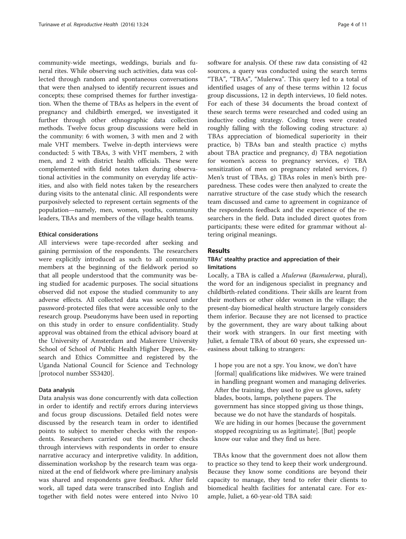community-wide meetings, weddings, burials and funeral rites. While observing such activities, data was collected through random and spontaneous conversations that were then analysed to identify recurrent issues and concepts; these comprised themes for further investigation. When the theme of TBAs as helpers in the event of pregnancy and childbirth emerged, we investigated it further through other ethnographic data collection methods. Twelve focus group discussions were held in the community: 6 with women, 3 with men and 2 with male VHT members. Twelve in-depth interviews were conducted: 5 with TBAs, 3 with VHT members, 2 with men, and 2 with district health officials. These were complemented with field notes taken during observational activities in the community on everyday life activities, and also with field notes taken by the researchers during visits to the antenatal clinic. All respondents were purposively selected to represent certain segments of the population—namely, men, women, youths, community leaders, TBAs and members of the village health teams.

#### Ethical considerations

All interviews were tape-recorded after seeking and gaining permission of the respondents. The researchers were explicitly introduced as such to all community members at the beginning of the fieldwork period so that all people understood that the community was being studied for academic purposes. The social situations observed did not expose the studied community to any adverse effects. All collected data was secured under password-protected files that were accessible only to the research group. Pseudonyms have been used in reporting on this study in order to ensure confidentiality. Study approval was obtained from the ethical advisory board at the University of Amsterdam and Makerere University School of School of Public Health Higher Degrees, Research and Ethics Committee and registered by the Uganda National Council for Science and Technology [protocol number SS3420].

#### Data analysis

Data analysis was done concurrently with data collection in order to identify and rectify errors during interviews and focus group discussions. Detailed field notes were discussed by the research team in order to identified points to subject to member checks with the respondents. Researchers carried out the member checks through interviews with respondents in order to ensure narrative accuracy and interpretive validity. In addition, dissemination workshop by the research team was organized at the end of fieldwork where pre-liminary analysis was shared and respondents gave feedback. After field work, all taped data were transcribed into English and together with field notes were entered into Nvivo 10 software for analysis. Of these raw data consisting of 42 sources, a query was conducted using the search terms "TBA", "TBAs", "Mulerwa". This query led to a total of identified usages of any of these terms within 12 focus group discussions, 12 in depth interviews, 10 field notes. For each of these 34 documents the broad context of these search terms were researched and coded using an inductive coding strategy. Coding trees were created roughly falling with the following coding structure: a) TBAs appreciation of biomedical superiority in their practice, b) TBAs ban and stealth practice c) myths about TBA practice and pregnancy, d) TBA negotiation for women's access to pregnancy services, e) TBA sensitization of men on pregnancy related services, f) Men's trust of TBAs, g) TBAs roles in men's birth preparedness. These codes were then analyzed to create the narrative structure of the case study which the research team discussed and came to agreement in cognizance of the respondents feedback and the experience of the researchers in the field. Data included direct quotes from participants; these were edited for grammar without altering original meanings.

#### Results

#### TBAs' stealthy practice and appreciation of their limitations

Locally, a TBA is called a Mulerwa (Bamulerwa, plural), the word for an indigenous specialist in pregnancy and childbirth-related conditions. Their skills are learnt from their mothers or other older women in the village; the present-day biomedical health structure largely considers them inferior. Because they are not licensed to practice by the government, they are wary about talking about their work with strangers. In our first meeting with Juliet, a female TBA of about 60 years, she expressed uneasiness about talking to strangers:

I hope you are not a spy. You know, we don't have [formal] qualifications like midwives. We were trained in handling pregnant women and managing deliveries. After the training, they used to give us gloves, safety blades, boots, lamps, polythene papers. The government has since stopped giving us those things, because we do not have the standards of hospitals. We are hiding in our homes [because the government stopped recognizing us as legitimate]. [But] people know our value and they find us here.

TBAs know that the government does not allow them to practice so they tend to keep their work underground. Because they know some conditions are beyond their capacity to manage, they tend to refer their clients to biomedical health facilities for antenatal care. For example, Juliet, a 60-year-old TBA said: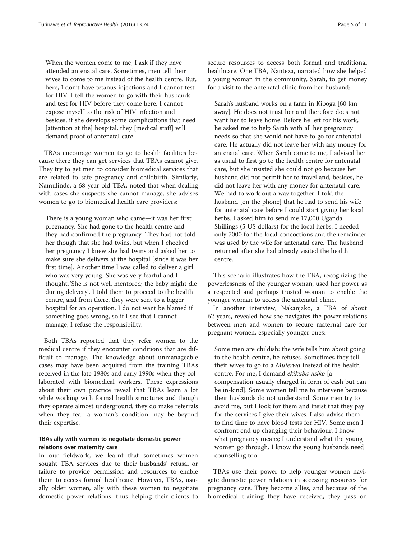When the women come to me, I ask if they have attended antenatal care. Sometimes, men tell their wives to come to me instead of the health centre. But, here, I don't have tetanus injections and I cannot test for HIV. I tell the women to go with their husbands and test for HIV before they come here. I cannot expose myself to the risk of HIV infection and besides, if she develops some complications that need [attention at the] hospital, they [medical staff] will demand proof of antenatal care.

TBAs encourage women to go to health facilities because there they can get services that TBAs cannot give. They try to get men to consider biomedical services that are related to safe pregnancy and childbirth. Similarly, Namulinde, a 68-year-old TBA, noted that when dealing with cases she suspects she cannot manage, she advises women to go to biomedical health care providers:

There is a young woman who came—it was her first pregnancy. She had gone to the health centre and they had confirmed the pregnancy. They had not told her though that she had twins, but when I checked her pregnancy I knew she had twins and asked her to make sure she delivers at the hospital [since it was her first time]. Another time I was called to deliver a girl who was very young. She was very fearful and I thought, 'She is not well mentored; the baby might die during delivery'. I told them to proceed to the health centre, and from there, they were sent to a bigger hospital for an operation. I do not want be blamed if something goes wrong, so if I see that I cannot manage, I refuse the responsibility.

Both TBAs reported that they refer women to the medical centre if they encounter conditions that are difficult to manage. The knowledge about unmanageable cases may have been acquired from the training TBAs received in the late 1980s and early 1990s when they collaborated with biomedical workers. These expressions about their own practice reveal that TBAs learn a lot while working with formal health structures and though they operate almost underground, they do make referrals when they fear a woman's condition may be beyond their expertise.

## TBAs ally with women to negotiate domestic power relations over maternity care

In our fieldwork, we learnt that sometimes women sought TBA services due to their husbands' refusal or failure to provide permission and resources to enable them to access formal healthcare. However, TBAs, usually older women, ally with these women to negotiate domestic power relations, thus helping their clients to

secure resources to access both formal and traditional healthcare. One TBA, Nanteza, narrated how she helped a young woman in the community, Sarah, to get money for a visit to the antenatal clinic from her husband:

Sarah's husband works on a farm in Kiboga [60 km away]. He does not trust her and therefore does not want her to leave home. Before he left for his work, he asked me to help Sarah with all her pregnancy needs so that she would not have to go for antenatal care. He actually did not leave her with any money for antenatal care. When Sarah came to me, I advised her as usual to first go to the health centre for antenatal care, but she insisted she could not go because her husband did not permit her to travel and, besides, he did not leave her with any money for antenatal care. We had to work out a way together. I told the husband [on the phone] that he had to send his wife for antenatal care before I could start giving her local herbs. I asked him to send me 17,000 Uganda Shillings (5 US dollars) for the local herbs. I needed only 7000 for the local concoctions and the remainder was used by the wife for antenatal care. The husband returned after she had already visited the health centre.

This scenario illustrates how the TBA, recognizing the powerlessness of the younger woman, used her power as a respected and perhaps trusted woman to enable the younger woman to access the antenatal clinic.

In another interview, Nakanjako, a TBA of about 62 years, revealed how she navigates the power relations between men and women to secure maternal care for pregnant women, especially younger ones:

Some men are childish: the wife tells him about going to the health centre, he refuses. Sometimes they tell their wives to go to a Mulerwa instead of the health centre. For me, I demand ekikuba nsiko [a compensation usually charged in form of cash but can be in-kind]. Some women tell me to intervene because their husbands do not understand. Some men try to avoid me, but I look for them and insist that they pay for the services I give their wives. I also advise them to find time to have blood tests for HIV. Some men I confront end up changing their behaviour. I know what pregnancy means; I understand what the young women go through. I know the young husbands need counselling too.

TBAs use their power to help younger women navigate domestic power relations in accessing resources for pregnancy care. They become allies, and because of the biomedical training they have received, they pass on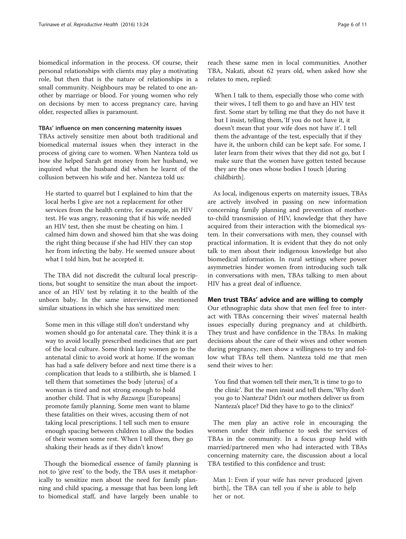biomedical information in the process. Of course, their personal relationships with clients may play a motivating role, but then that is the nature of relationships in a small community. Neighbours may be related to one another by marriage or blood. For young women who rely on decisions by men to access pregnancy care, having older, respected allies is paramount.

#### TBAs' influence on men concerning maternity issues

TBAs actively sensitize men about both traditional and biomedical maternal issues when they interact in the process of giving care to women. When Nanteza told us how she helped Sarah get money from her husband, we inquired what the husband did when he learnt of the collusion between his wife and her. Nanteza told us:

He started to quarrel but I explained to him that the local herbs I give are not a replacement for other services from the health centre, for example, an HIV test. He was angry, reasoning that if his wife needed an HIV test, then she must be cheating on him. I calmed him down and showed him that she was doing the right thing because if she had HIV they can stop her from infecting the baby. He seemed unsure about what I told him, but he accepted it.

The TBA did not discredit the cultural local prescriptions, but sought to sensitize the man about the importance of an HIV test by relating it to the health of the unborn baby. In the same interview, she mentioned similar situations in which she has sensitized men:

Some men in this village still don't understand why women should go for antenatal care. They think it is a way to avoid locally prescribed medicines that are part of the local culture. Some think lazy women go to the antenatal clinic to avoid work at home. If the woman has had a safe delivery before and next time there is a complication that leads to a stillbirth, she is blamed. I tell them that sometimes the body [uterus] of a woman is tired and not strong enough to hold another child. That is why Bazungu [Europeans] promote family planning. Some men want to blame these fatalities on their wives, accusing them of not taking local prescriptions. I tell such men to ensure enough spacing between children to allow the bodies of their women some rest. When I tell them, they go shaking their heads as if they didn't know!

Though the biomedical essence of family planning is not to 'give rest' to the body, the TBA uses it metaphorically to sensitize men about the need for family planning and child spacing, a message that has been long left to biomedical staff, and have largely been unable to reach these same men in local communities. Another TBA, Nakati, about 62 years old, when asked how she relates to men, replied:

When I talk to them, especially those who come with their wives, I tell them to go and have an HIV test first. Some start by telling me that they do not have it but I insist, telling them, 'If you do not have it, it doesn't mean that your wife does not have it'. I tell them the advantage of the test, especially that if they have it, the unborn child can be kept safe. For some, I later learn from their wives that they did not go, but I make sure that the women have gotten tested because they are the ones whose bodies I touch [during childbirth].

As local, indigenous experts on maternity issues, TBAs are actively involved in passing on new information concerning family planning and prevention of motherto-child transmission of HIV, knowledge that they have acquired from their interaction with the biomedical system. In their conversations with men, they counsel with practical information. It is evident that they do not only talk to men about their indigenous knowledge but also biomedical information. In rural settings where power asymmetries hinder women from introducing such talk in conversations with men, TBAs talking to men about HIV has a great deal of influence.

#### Men trust TBAs' advice and are willing to comply

Our ethnographic data show that men feel free to interact with TBAs concerning their wives' maternal health issues especially during pregnancy and at childbirth. They trust and have confidence in the TBAs. In making decisions about the care of their wives and other women during pregnancy, men show a willingness to try and follow what TBAs tell them. Nanteza told me that men send their wives to her:

You find that women tell their men, 'It is time to go to the clinic'. But the men insist and tell them, 'Why don't you go to Nanteza? Didn't our mothers deliver us from Nanteza's place? Did they have to go to the clinics?'

The men play an active role in encouraging the women under their influence to seek the services of TBAs in the community. In a focus group held with married/partnered men who had interacted with TBAs concerning maternity care, the discussion about a local TBA testified to this confidence and trust:

Man 1: Even if your wife has never produced [given birth], the TBA can tell you if she is able to help her or not.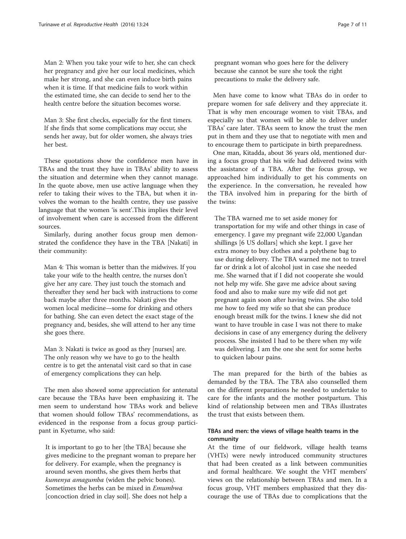Man 2: When you take your wife to her, she can check her pregnancy and give her our local medicines, which make her strong, and she can even induce birth pains when it is time. If that medicine fails to work within the estimated time, she can decide to send her to the health centre before the situation becomes worse.

Man 3: She first checks, especially for the first timers. If she finds that some complications may occur, she sends her away, but for older women, she always tries her best.

These quotations show the confidence men have in TBAs and the trust they have in TBAs' ability to assess the situation and determine when they cannot manage. In the quote above, men use active language when they refer to taking their wives to the TBA, but when it involves the woman to the health centre, they use passive language that the women 'is sent'.This implies their level of involvement when care is accessed from the different sources.

Similarly, during another focus group men demonstrated the confidence they have in the TBA [Nakati] in their community:

Man 4: This woman is better than the midwives. If you take your wife to the health centre, the nurses don't give her any care. They just touch the stomach and thereafter they send her back with instructions to come back maybe after three months. Nakati gives the women local medicine—some for drinking and others for bathing. She can even detect the exact stage of the pregnancy and, besides, she will attend to her any time she goes there.

Man 3: Nakati is twice as good as they [nurses] are. The only reason why we have to go to the health centre is to get the antenatal visit card so that in case of emergency complications they can help.

The men also showed some appreciation for antenatal care because the TBAs have been emphasizing it. The men seem to understand how TBAs work and believe that women should follow TBAs' recommendations, as evidenced in the response from a focus group participant in Kyetume, who said:

It is important to go to her [the TBA] because she gives medicine to the pregnant woman to prepare her for delivery. For example, when the pregnancy is around seven months, she gives them herbs that kumenya amagumba (widen the pelvic bones). Sometimes the herbs can be mixed in Emumbwa [concoction dried in clay soil]. She does not help a

pregnant woman who goes here for the delivery because she cannot be sure she took the right precautions to make the delivery safe.

Men have come to know what TBAs do in order to prepare women for safe delivery and they appreciate it. That is why men encourage women to visit TBAs, and especially so that women will be able to deliver under TBAs' care later. TBAs seem to know the trust the men put in them and they use that to negotiate with men and to encourage them to participate in birth preparedness.

One man, Kitadda, about 36 years old, mentioned during a focus group that his wife had delivered twins with the assistance of a TBA. After the focus group, we approached him individually to get his comments on the experience. In the conversation, he revealed how the TBA involved him in preparing for the birth of the twins:

The TBA warned me to set aside money for transportation for my wife and other things in case of emergency. I gave my pregnant wife 22,000 Ugandan shillings [6 US dollars] which she kept. I gave her extra money to buy clothes and a polythene bag to use during delivery. The TBA warned me not to travel far or drink a lot of alcohol just in case she needed me. She warned that if I did not cooperate she would not help my wife. She gave me advice about saving food and also to make sure my wife did not get pregnant again soon after having twins. She also told me how to feed my wife so that she can produce enough breast milk for the twins. I knew she did not want to have trouble in case I was not there to make decisions in case of any emergency during the delivery process. She insisted I had to be there when my wife was delivering. I am the one she sent for some herbs to quicken labour pains.

The man prepared for the birth of the babies as demanded by the TBA. The TBA also counselled them on the different preparations he needed to undertake to care for the infants and the mother postpartum. This kind of relationship between men and TBAs illustrates the trust that exists between them.

# TBAs and men: the views of village health teams in the community

At the time of our fieldwork, village health teams (VHTs) were newly introduced community structures that had been created as a link between communities and formal healthcare. We sought the VHT members' views on the relationship between TBAs and men. In a focus group, VHT members emphasized that they discourage the use of TBAs due to complications that the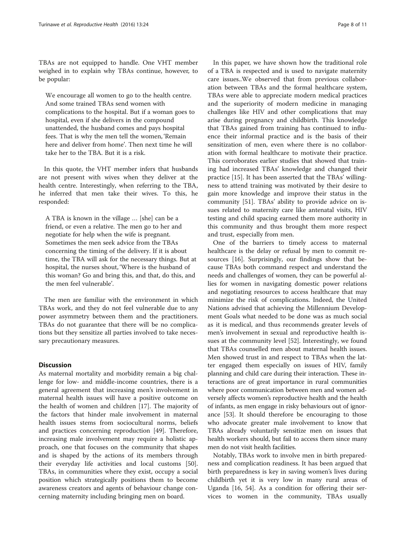TBAs are not equipped to handle. One VHT member weighed in to explain why TBAs continue, however, to be popular:

We encourage all women to go to the health centre. And some trained TBAs send women with complications to the hospital. But if a woman goes to hospital, even if she delivers in the compound unattended, the husband comes and pays hospital fees. That is why the men tell the women, 'Remain here and deliver from home'. Then next time he will take her to the TBA. But it is a risk.

In this quote, the VHT member infers that husbands are not present with wives when they deliver at the health centre. Interestingly, when referring to the TBA, he inferred that men take their wives. To this, he responded:

A TBA is known in the village … [she] can be a friend, or even a relative. The men go to her and negotiate for help when the wife is pregnant. Sometimes the men seek advice from the TBAs concerning the timing of the delivery. If it is about time, the TBA will ask for the necessary things. But at hospital, the nurses shout, 'Where is the husband of this woman? Go and bring this, and that, do this, and the men feel vulnerable'.

The men are familiar with the environment in which TBAs work, and they do not feel vulnerable due to any power asymmetry between them and the practitioners. TBAs do not guarantee that there will be no complications but they sensitize all parties involved to take necessary precautionary measures.

#### **Discussion**

As maternal mortality and morbidity remain a big challenge for low- and middle-income countries, there is a general agreement that increasing men's involvement in maternal health issues will have a positive outcome on the health of women and children [\[17](#page-10-0)]. The majority of the factors that hinder male involvement in maternal health issues stems from sociocultural norms, beliefs and practices concerning reproduction [\[49](#page-11-0)]. Therefore, increasing male involvement may require a holistic approach, one that focuses on the community that shapes and is shaped by the actions of its members through their everyday life activities and local customs [\[50](#page-11-0)]. TBAs, in communities where they exist, occupy a social position which strategically positions them to become awareness creators and agents of behaviour change concerning maternity including bringing men on board.

In this paper, we have shown how the traditional role of a TBA is respected and is used to navigate maternity care issues..We observed that from previous collaboration between TBAs and the formal healthcare system, TBAs were able to appreciate modern medical practices and the superiority of modern medicine in managing challenges like HIV and other complications that may arise during pregnancy and childbirth. This knowledge that TBAs gained from training has continued to influence their informal practice and is the basis of their sensitization of men, even where there is no collaboration with formal healthcare to motivate their practice. This corroborates earlier studies that showed that training had increased TBAs' knowledge and changed their practice [\[15\]](#page-10-0). It has been asserted that the TBAs' willingness to attend training was motivated by their desire to gain more knowledge and improve their status in the community [[51\]](#page-11-0). TBAs' ability to provide advice on issues related to maternity care like antenatal visits, HIV testing and child spacing earned them more authority in this community and thus brought them more respect and trust, especially from men.

One of the barriers to timely access to maternal healthcare is the delay or refusal by men to commit resources [[16\]](#page-10-0). Surprisingly, our findings show that because TBAs both command respect and understand the needs and challenges of women, they can be powerful allies for women in navigating domestic power relations and negotiating resources to access healthcare that may minimize the risk of complications. Indeed, the United Nations advised that achieving the Millennium Development Goals what needed to be done was as much social as it is medical, and thus recommends greater levels of men's involvement in sexual and reproductive health issues at the community level [\[52\]](#page-11-0). Interestingly, we found that TBAs counselled men about maternal health issues. Men showed trust in and respect to TBAs when the latter engaged them especially on issues of HIV, family planning and child care during their interaction. These interactions are of great importance in rural communities where poor communication between men and women adversely affects women's reproductive health and the health of infants, as men engage in risky behaviours out of ignorance [\[53\]](#page-11-0). It should therefore be encouraging to those who advocate greater male involvement to know that TBAs already voluntarily sensitize men on issues that health workers should, but fail to access them since many men do not visit health facilities.

Notably, TBAs work to involve men in birth preparedness and complication readiness. It has been argued that birth preparedness is key in saving women's lives during childbirth yet it is very low in many rural areas of Uganda [[16](#page-10-0), [54\]](#page-11-0). As a condition for offering their services to women in the community, TBAs usually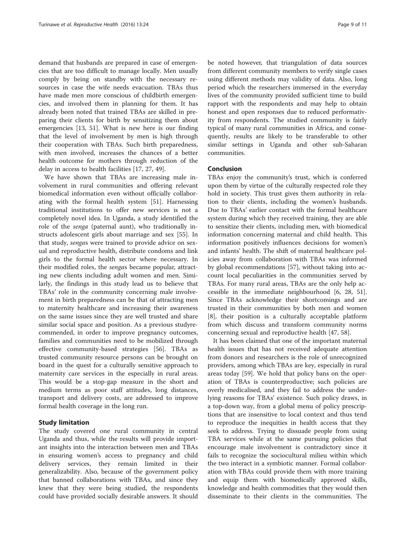demand that husbands are prepared in case of emergencies that are too difficult to manage locally. Men usually comply by being on standby with the necessary resources in case the wife needs evacuation. TBAs thus have made men more conscious of childbirth emergencies, and involved them in planning for them. It has already been noted that trained TBAs are skilled in preparing their clients for birth by sensitizing them about emergencies [[13](#page-10-0), [51\]](#page-11-0). What is new here is our finding that the level of involvement by men is high through their cooperation with TBAs. Such birth preparedness, with men involved, increases the chances of a better health outcome for mothers through reduction of the delay in access to health facilities [\[17](#page-10-0), [27, 49\]](#page-11-0).

We have shown that TBAs are increasing male involvement in rural communities and offering relevant biomedical information even without officially collaborating with the formal health system [\[51\]](#page-11-0). Harnessing traditional institutions to offer new services is not a completely novel idea. In Uganda, a study identified the role of the senga (paternal aunt), who traditionally instructs adolescent girls about marriage and sex [[55\]](#page-11-0). In that study, sengas were trained to provide advice on sexual and reproductive health, distribute condoms and link girls to the formal health sector where necessary. In their modified roles, the sengas became popular, attracting new clients including adult women and men. Similarly, the findings in this study lead us to believe that TBAs' role in the community concerning male involvement in birth preparedness can be that of attracting men to maternity healthcare and increasing their awareness on the same issues since they are well trusted and share similar social space and position. As a previous studyrecommended, in order to improve pregnancy outcomes, families and communities need to be mobilized through effective community-based strategies [\[56](#page-11-0)]. TBAs as trusted community resource persons can be brought on board in the quest for a culturally sensitive approach to maternity care services in the especially in rural areas. This would be a stop-gap measure in the short and medium terms as poor staff attitudes, long distances, transport and delivery costs, are addressed to improve formal health coverage in the long run.

### Study limitation

The study covered one rural community in central Uganda and thus, while the results will provide important insights into the interaction between men and TBAs in ensuring women's access to pregnancy and child delivery services, they remain limited in their generalizability. Also, because of the government policy that banned collaborations with TBAs, and since they knew that they were being studied, the respondents could have provided socially desirable answers. It should

be noted however, that triangulation of data sources from different community members to verify single cases using different methods may validity of data. Also, long period which the researchers immersed in the everyday lives of the community provided sufficient time to build rapport with the respondents and may help to obtain honest and open responses due to reduced performativity from respondents. The studied community is fairly typical of many rural communities in Africa, and consequently, results are likely to be transferable to other similar settings in Uganda and other sub-Saharan communities.

## Conclusion

TBAs enjoy the community's trust, which is conferred upon them by virtue of the culturally respected role they hold in society. This trust gives them authority in relation to their clients, including the women's husbands. Due to TBAs' earlier contact with the formal healthcare system during which they received training, they are able to sensitize their clients, including men, with biomedical information concerning maternal and child health. This information positively influences decisions for women's and infants' health. The shift of maternal healthcare policies away from collaboration with TBAs was informed by global recommendations [\[57\]](#page-11-0), without taking into account local peculiarities in the communities served by TBAs. For many rural areas, TBAs are the only help accessible in the immediate neighbourhood [\[6](#page-10-0), [28, 51](#page-11-0)]. Since TBAs acknowledge their shortcomings and are trusted in their communities by both men and women [[8\]](#page-10-0), their position is a culturally acceptable platform from which discuss and transform community norms concerning sexual and reproductive health [\[47, 58\]](#page-11-0).

It has been claimed that one of the important maternal health issues that has not received adequate attention from donors and researchers is the role of unrecognized providers, among which TBAs are key, especially in rural areas today [\[59\]](#page-11-0). We hold that policy bans on the operation of TBAs is counterproductive; such policies are overly medicalised, and they fail to address the underlying reasons for TBAs' existence. Such policy draws, in a top-down way, from a global menu of policy prescriptions that are insensitive to local context and thus tend to reproduce the inequities in health access that they seek to address. Trying to dissuade people from using TBA services while at the same pursuing policies that encourage male involvement is contradictory since it fails to recognize the sociocultural milieu within which the two interact in a symbiotic manner. Formal collaboration with TBAs could provide them with more training and equip them with biomedically approved skills, knowledge and health commodities that they would then disseminate to their clients in the communities. The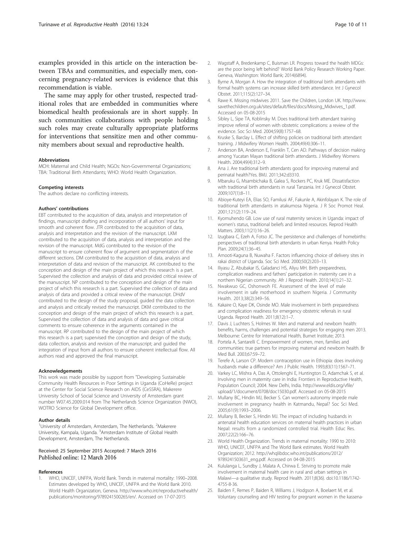<span id="page-10-0"></span>examples provided in this article on the interaction between TBAs and communities, and especially men, concerning pregnancy-related services is evidence that this recommendation is viable.

The same may apply for other trusted, respected traditional roles that are embedded in communities where biomedical health professionals are in short supply. In such communities collaborations with people holding such roles may create culturally appropriate platforms for interventions that sensitize men and other community members about sexual and reproductive health.

#### Abbreviations

MCH: Maternal and Child Health; NGOs: Non-Governmental Organizations; TBA: Traditional Birth Attendants; WHO: World Health Organization.

#### Competing interests

The authors declare no conflicting interests.

#### Authors' contributions

EBT contributed to the acquisition of data, analysis and interpretation of findings, manuscript drafting and incorporation of all authors' input for smooth and coherent flow. JTR contributed to the acquisition of data, analysis and interpretation and the revision of the manuscript. LKM contributed to the acquisition of data, analysis and interpretation and the revision of the manuscript. MdG contributed to the revision of the manuscript to ensure coherent flow of argument and segmentation of the different sections. DM contributed to the acquisition of data, analysis and interpretation of data and revision of the manuscript. AK contributed to the conception and design of the main project of which this research is a part. Supervised the collection and analysis of data and provided critical review of the manuscript. NP contributed to the conception and design of the main project of which this research is a part. Supervised the collection of data and analysis of data and provided a critical review of the manuscript. DHdV contributed to the design of the study proposal, guided the data collection and analysis and critically revised the manuscript. DKM contributed to the conception and design of the main project of which this research is a part. Supervised the collection of data and analysis of data and gave critical comments to ensure coherence in the arguments contained in the manuscript. RP contributed to the design of the main project of which this research is a part; supervised the conception and design of the study, data collection, analysis and revision of the manuscript; and guided the integration of input from all authors to ensure coherent intellectual flow. All authors read and approved the final manuscript.

#### Acknowledgements

This work was made possible by support from "Developing Sustainable Community Health Resources in Poor Settings in Uganda (CoHeRe) project at the Center for Social Science Research on AIDS (CeSSRA), Makerere University School of Social Science and University of Amsterdam grant number W07.45.2009.014 from The Netherlands Science Organization (NWO), WOTRO Science for Global Development office.

#### Author details

<sup>1</sup> University of Amsterdam, Amsterdam, The Netherlands. <sup>2</sup>Makerere University, Kampala, Uganda. <sup>3</sup>Amsterdam Institute of Global Health Development, Amsterdam, The Netherlands.

#### Received: 25 September 2015 Accepted: 7 March 2016 Published online: 12 March 2016

#### References

1. WHO, UNICEF, UNFPA, World Bank. Trends in maternal mortality: 1990–2008. Estimates developed by WHO, UNICEF, UNFPA and the World Bank 2010. World Health Organization, Geneva. [http://www.who.int/reproductivehealth/](http://www.who.int/reproductivehealth/publications/monitoring/9789241500265/en/) [publications/monitoring/9789241500265/en/.](http://www.who.int/reproductivehealth/publications/monitoring/9789241500265/en/) Accessed on 17-07-2015

- 2. Wagstaff A, Bredenkamp C, Buisman LR. Progress toward the health MDGs: are the poor being left behind? World Bank Policy Research Working Paper. Geneva, Washington: World Bank; 2014(6894).
- 3. Byrne A, Morgan A. How the integration of traditional birth attendants with formal health systems can increase skilled birth attendance. Int J Gynecol Obstet. 2011;115(2):127–34.
- 4. Rawe K. Missing midwives 2011. Save the Children, London UK. [http://www.](http://www.savethechildren.org.uk/sites/default/files/docs/Missing_Midwives_1.pdf) [savethechildren.org.uk/sites/default/files/docs/Missing\\_Midwives\\_1.pdf.](http://www.savethechildren.org.uk/sites/default/files/docs/Missing_Midwives_1.pdf) Accessed on 05-08-2015
- 5. Sibley L, Sipe TA, Koblinsky M. Does traditional birth attendant training improve referral of women with obstetric complications: a review of the evidence. Soc Sci Med. 2004;59(8):1757–68.
- 6. Kruske S, Barclay L. Effect of shifting policies on traditional birth attendant training. J Midwifery Women Health. 2004;49(4):306–11.
- 7. Anderson BA, Anderson E, Franklin T, Cen AD. Pathways of decision making among Yucatan Mayan traditional birth attendants. J Midwifery Womens Health. 2004;49(4):312–9.
- 8. Ana J. Are traditional birth attendants good for improving maternal and perinatal health?Yes. BMJ. 2011;342:d3310.
- 9. Mbaruku G, Msambichaka B, Galea S, Rockers PC, Kruk ME. Dissatisfaction with traditional birth attendants in rural Tanzania. Int J Gynecol Obstet. 2009;107(1):8–11.
- 10. Abioye-Kuteyi EA, Elias SO, Familusi AF, Fakunle A, Akinfolayan K. The role of traditional birth attendants in atakumosa Nigeria. J R Soc Promot Heal. 2001;121(2):119–24.
- 11. Kyomuhendo GB. Low use of rural maternity services in Uganda: impact of women's status, traditional beliefs and limited resources. Reprod Health Matters. 2003;11(21):16–26.
- 12. Izugbara C, Ezeh A, Fotso JC. The persistence and challenges of homebirths: perspectives of traditional birth attendants in urban Kenya. Health Policy Plan. 2009;24(1):36–45.
- 13. Amooti-Kaguna B, Nuwaha F. Factors influencing choice of delivery sites in rakai district of Uganda. Soc Sci Med. 2000;50(2):203–13.
- 14. Iliyasu Z, Abubakar IS, Galadanci HS, Aliyu MH. Birth preparedness, complication readiness and fathers' participation in maternity care in a northern Nigerian community. Afr J Reprod Health. 2010;14(1):21–32.
- 15. Nwakwuo GC, Oshonwoh FE. Assessment of the level of male involvement in safe motherhood in southern Nigeria. J Community Health. 2013;38(2):349–56.
- 16. Kakaire O, Kaye DK, Osinde MO. Male involvement in birth preparedness and complication readiness for emergency obstetric referrals in rural Uganda. Reprod Health. 2011;8(12):1–7.
- 17. Davis J, Luchters S, Holmes W. Men and maternal and newborn health: benefits, harms, challenges and potential strategies for engaging men 2013. Melbourne: Centre for International Health, Burnet Institute; 2013.
- 18. Portela A, Santarelli C. Empowerment of women, men, families and communities: true partners for improving maternal and newborn health. Br Med Bull. 2003;67:59–72.
- 19. Terefe A, Larson CP. Modern contraception use in Ethiopia: does involving husbands make a difference? Am J Public Health. 1993;83(11):1567–71.
- 20. Varkey LC, Mishra A, Das A, Ottolenghi E, Huntington D, Adamchak S, et al. Involving men in maternity care in India: Frontiers in Reproductive Health, Population Council; 2004. New Delhi, India. [http://www.eldis.org/vfile/](http://www.eldis.org/vfile/upload/1/document/0708/doc15030.pdf) [upload/1/document/0708/doc15030.pdf.](http://www.eldis.org/vfile/upload/1/document/0708/doc15030.pdf) Accessed on 05-08-2015
- 21. Mullany BC, Hindin MJ, Becker S. Can women's autonomy impede male involvement in pregnancy health in Katmandu, Nepal? Soc Sci Med. 2005;61(9):1993–2006.
- 22. Mullany B, Becker S, Hindin MJ. The impact of including husbands in antenatal health education services on maternal health practices in urban Nepal: results from a randomized controlled trial. Health Educ Res. 2007;22(2):166–76.
- 23. World Health Organization. Trends in maternal mortality: 1990 to 2010: WHO, UNICEF, UNFPA and The World Bank estimates. World Health Organization; 2012. [http://whqlibdoc.who.int/publications/2012/](http://whqlibdoc.who.int/publications/2012/9789241503631_eng.pdf) [9789241503631\\_eng.pdf](http://whqlibdoc.who.int/publications/2012/9789241503631_eng.pdf). Accessed on 04-08-2015
- 24. Kululanga L, Sundby J, Malata A, Chirwa E. Striving to promote male involvement in maternal health care in rural and urban settings in Malawi—a qualitative study. Reprod Health. 2011;8(36). doi[:10.1186/1742-](http://dx.doi.org/10.1186/1742-4755-8-36) [4755-8-36.](http://dx.doi.org/10.1186/1742-4755-8-36)
- 25. Baiden F, Remes P, Baiden R, Williams J, Hodgson A, Boelaert M, et al. Voluntary counseling and HIV testing for pregnant women in the kassena-